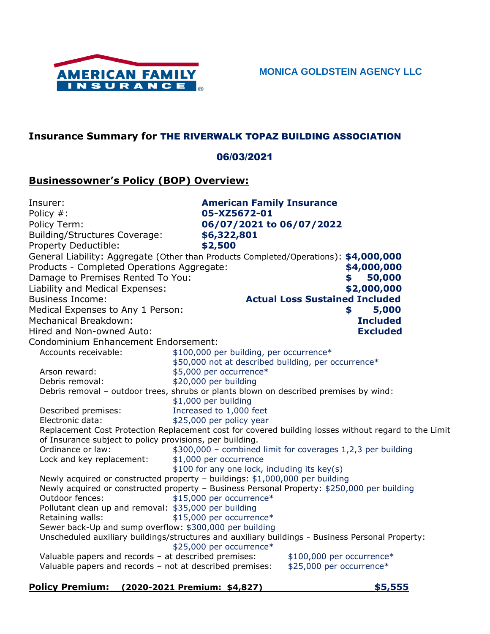

## **Insurance Summary for** THE RIVERWALK TOPAZ BUILDING ASSOCIATION

## 06/03/2021

## **Businessowner's Policy (BOP) Overview:**

| Insurer:                                                                                                         | <b>American Family Insurance</b>                            |                                                       |  |  |
|------------------------------------------------------------------------------------------------------------------|-------------------------------------------------------------|-------------------------------------------------------|--|--|
| Policy #:                                                                                                        | 05-XZ5672-01                                                |                                                       |  |  |
| Policy Term:                                                                                                     | 06/07/2021 to 06/07/2022                                    |                                                       |  |  |
| Building/Structures Coverage:                                                                                    | \$6,322,801                                                 |                                                       |  |  |
| Property Deductible:                                                                                             | \$2,500                                                     |                                                       |  |  |
| General Liability: Aggregate (Other than Products Completed/Operations): \$4,000,000                             |                                                             |                                                       |  |  |
| Products - Completed Operations Aggregate:                                                                       |                                                             | \$4,000,000                                           |  |  |
| Damage to Premises Rented To You:                                                                                |                                                             | 50,000<br>S                                           |  |  |
| Liability and Medical Expenses:                                                                                  |                                                             | \$2,000,000                                           |  |  |
| <b>Business Income:</b>                                                                                          | <b>Actual Loss Sustained Included</b>                       |                                                       |  |  |
| Medical Expenses to Any 1 Person:                                                                                |                                                             | 5,000<br>\$                                           |  |  |
| Mechanical Breakdown:                                                                                            |                                                             | <b>Included</b>                                       |  |  |
| Hired and Non-owned Auto:                                                                                        |                                                             | <b>Excluded</b>                                       |  |  |
| Condominium Enhancement Endorsement:                                                                             |                                                             |                                                       |  |  |
| Accounts receivable:                                                                                             | \$100,000 per building, per occurrence*                     |                                                       |  |  |
|                                                                                                                  | \$50,000 not at described building, per occurrence*         |                                                       |  |  |
| Arson reward:                                                                                                    | \$5,000 per occurrence*                                     |                                                       |  |  |
| Debris removal:                                                                                                  | \$20,000 per building                                       |                                                       |  |  |
| Debris removal - outdoor trees, shrubs or plants blown on described premises by wind:                            |                                                             |                                                       |  |  |
|                                                                                                                  | \$1,000 per building                                        |                                                       |  |  |
| Described premises:                                                                                              | Increased to 1,000 feet                                     |                                                       |  |  |
| Electronic data:                                                                                                 | \$25,000 per policy year                                    |                                                       |  |  |
| Replacement Cost Protection Replacement cost for covered building losses without regard to the Limit             |                                                             |                                                       |  |  |
| of Insurance subject to policy provisions, per building.                                                         |                                                             |                                                       |  |  |
| Ordinance or law:                                                                                                | \$300,000 - combined limit for coverages 1,2,3 per building |                                                       |  |  |
| Lock and key replacement:                                                                                        | \$1,000 per occurrence                                      |                                                       |  |  |
|                                                                                                                  | \$100 for any one lock, including its key(s)                |                                                       |  |  |
| Newly acquired or constructed property - buildings: \$1,000,000 per building                                     |                                                             |                                                       |  |  |
| Newly acquired or constructed property - Business Personal Property: \$250,000 per building<br>Outdoor fences:   | \$15,000 per occurrence*                                    |                                                       |  |  |
| Pollutant clean up and removal: \$35,000 per building                                                            |                                                             |                                                       |  |  |
| Retaining walls:                                                                                                 | \$15,000 per occurrence*                                    |                                                       |  |  |
| Sewer back-Up and sump overflow: \$300,000 per building                                                          |                                                             |                                                       |  |  |
| Unscheduled auxiliary buildings/structures and auxiliary buildings - Business Personal Property:                 | \$25,000 per occurrence*                                    |                                                       |  |  |
| Valuable papers and records - at described premises:<br>Valuable papers and records - not at described premises: |                                                             | \$100,000 per occurrence*<br>\$25,000 per occurrence* |  |  |

# **Policy Premium: (2020-2021 Premium: \$4,827) \$5,555**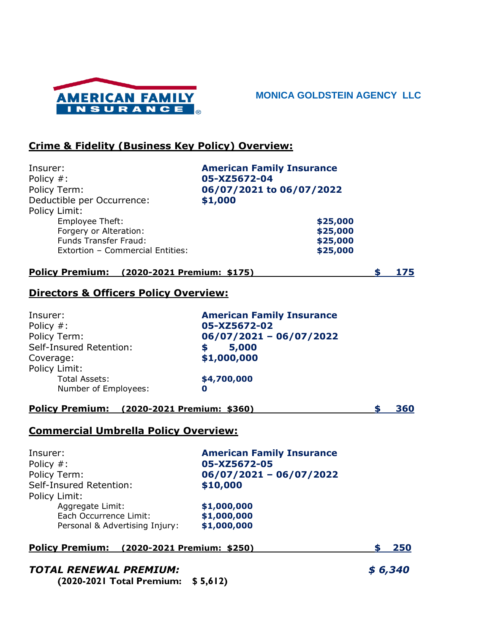

**MONICA GOLDSTEIN AGENCY LLC**

# **Crime & Fidelity (Business Key Policy) Overview:**

| Insurer:<br>Policy #:<br>Policy Term:<br>Deductible per Occurrence:<br>Policy Limit:<br>Employee Theft:<br>Forgery or Alteration:<br><b>Funds Transfer Fraud:</b> | <b>American Family Insurance</b><br>05-XZ5672-04<br>06/07/2021 to 06/07/2022<br>\$1,000<br>\$25,000<br>\$25,000<br>\$25,000 |           |
|-------------------------------------------------------------------------------------------------------------------------------------------------------------------|-----------------------------------------------------------------------------------------------------------------------------|-----------|
| Extortion - Commercial Entities:                                                                                                                                  | \$25,000                                                                                                                    |           |
| Policy Premium: (2020-2021 Premium: \$175)                                                                                                                        |                                                                                                                             | \$<br>175 |
| Directors & Officers Policy Overview:                                                                                                                             |                                                                                                                             |           |
| Insurer:<br>Policy #:<br>Policy Term:<br>Self-Insured Retention:<br>Coverage:<br>Policy Limit:<br><b>Total Assets:</b><br>Number of Employees:                    | <b>American Family Insurance</b><br>05-XZ5672-02<br>$06/07/2021 - 06/07/2022$<br>\$5,000<br>\$1,000,000<br>\$4,700,000<br>0 |           |
| Policy Premium: (2020-2021 Premium: \$360)                                                                                                                        |                                                                                                                             | \$<br>360 |
| <b>Commercial Umbrella Policy Overview:</b>                                                                                                                       |                                                                                                                             |           |
| Insurer:<br>Policy #:<br>Policy Term:                                                                                                                             | <b>American Family Insurance</b><br>05-XZ5672-05<br>06/07/2021 - 06/07/2022                                                 |           |

| FUILLY ICHIL.                  | $\overline{UU/U}/\overline{U/LU/L} = 0$ |
|--------------------------------|-----------------------------------------|
| Self-Insured Retention:        | \$10,000                                |
| Policy Limit:                  |                                         |
| Aggregate Limit:               | \$1,000,000                             |
| Each Occurrence Limit:         | \$1,000,000                             |
| Personal & Advertising Injury: | \$1,000,000                             |
|                                |                                         |

### **Policy Premium: (2020-2021 Premium: \$250) \$ 250**

# *TOTAL RENEWAL PREMIUM: \$ 6,340*

**(2020-2021 Total Premium: \$ 5,612)**